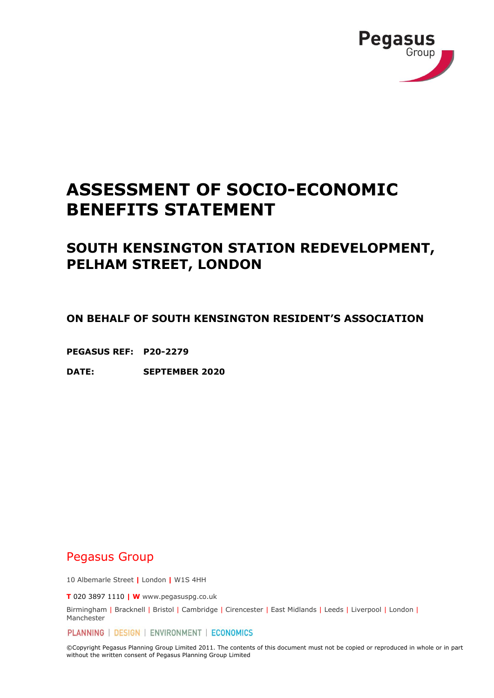

# **ASSESSMENT OF SOCIO-ECONOMIC BENEFITS STATEMENT**

# **SOUTH KENSINGTON STATION REDEVELOPMENT, PELHAM STREET, LONDON**

**ON BEHALF OF SOUTH KENSINGTON RESIDENT'S ASSOCIATION**

**PEGASUS REF: P20-2279**

**DATE: SEPTEMBER 2020**

# Pegasus Group

10 Albemarle Street **|** London **|** W1S 4HH

**T** 020 3897 1110 **| W** www.pegasuspg.co.uk

Birmingham | Bracknell | Bristol | Cambridge | Cirencester | East Midlands | Leeds | Liverpool | London | Manchester

PLANNING | DESIGN | ENVIRONMENT | ECONOMICS

©Copyright Pegasus Planning Group Limited 2011. The contents of this document must not be copied or reproduced in whole or in part without the written consent of Pegasus Planning Group Limited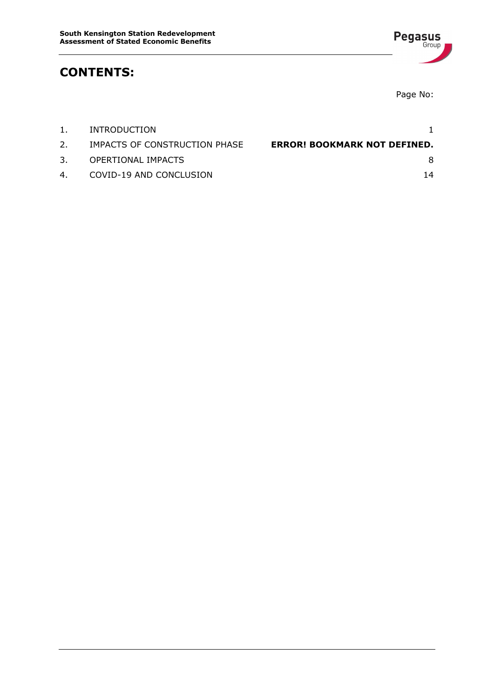

# **CONTENTS:**

Page No:

| 1. | INTRODUCTION                  |                                     |
|----|-------------------------------|-------------------------------------|
| 2. | IMPACTS OF CONSTRUCTION PHASE | <b>ERROR! BOOKMARK NOT DEFINED.</b> |
| 3. | OPERTIONAL IMPACTS            | 8                                   |
|    | 4. COVID-19 AND CONCLUSION    | 14                                  |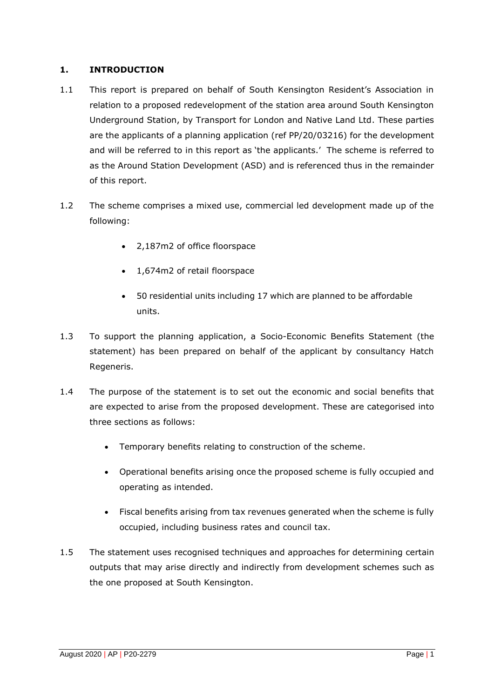# <span id="page-2-0"></span>**1. INTRODUCTION**

- 1.1 This report is prepared on behalf of South Kensington Resident's Association in relation to a proposed redevelopment of the station area around South Kensington Underground Station, by Transport for London and Native Land Ltd. These parties are the applicants of a planning application (ref PP/20/03216) for the development and will be referred to in this report as 'the applicants.' The scheme is referred to as the Around Station Development (ASD) and is referenced thus in the remainder of this report.
- 1.2 The scheme comprises a mixed use, commercial led development made up of the following:
	- 2,187m2 of office floorspace
	- 1,674m2 of retail floorspace
	- 50 residential units including 17 which are planned to be affordable units.
- 1.3 To support the planning application, a Socio-Economic Benefits Statement (the statement) has been prepared on behalf of the applicant by consultancy Hatch Regeneris.
- 1.4 The purpose of the statement is to set out the economic and social benefits that are expected to arise from the proposed development. These are categorised into three sections as follows:
	- Temporary benefits relating to construction of the scheme.
	- Operational benefits arising once the proposed scheme is fully occupied and operating as intended.
	- Fiscal benefits arising from tax revenues generated when the scheme is fully occupied, including business rates and council tax.
- 1.5 The statement uses recognised techniques and approaches for determining certain outputs that may arise directly and indirectly from development schemes such as the one proposed at South Kensington.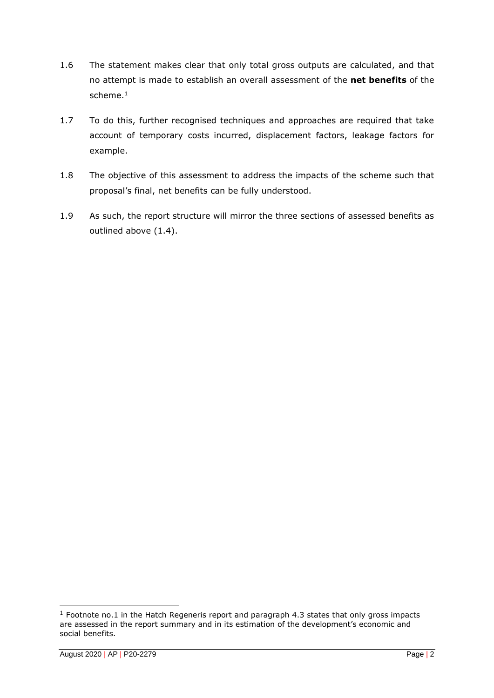- 1.6 The statement makes clear that only total gross outputs are calculated, and that no attempt is made to establish an overall assessment of the **net benefits** of the scheme. 1
- 1.7 To do this, further recognised techniques and approaches are required that take account of temporary costs incurred, displacement factors, leakage factors for example.
- 1.8 The objective of this assessment to address the impacts of the scheme such that proposal's final, net benefits can be fully understood.
- 1.9 As such, the report structure will mirror the three sections of assessed benefits as outlined above (1.4).

 $1$  Footnote no.1 in the Hatch Regeneris report and paragraph 4.3 states that only gross impacts are assessed in the report summary and in its estimation of the development's economic and social benefits.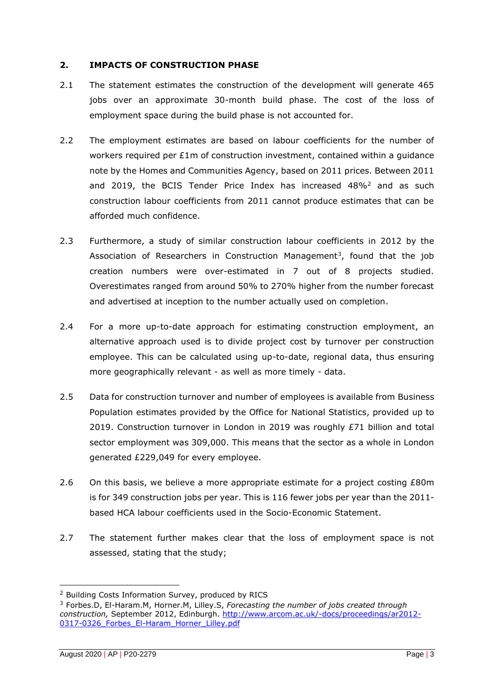### **2. IMPACTS OF CONSTRUCTION PHASE**

- 2.1 The statement estimates the construction of the development will generate 465 jobs over an approximate 30-month build phase. The cost of the loss of employment space during the build phase is not accounted for.
- 2.2 The employment estimates are based on labour coefficients for the number of workers required per  $E1m$  of construction investment, contained within a quidance note by the Homes and Communities Agency, based on 2011 prices. Between 2011 and 2019, the BCIS Tender Price Index has increased  $48\%^2$  and as such construction labour coefficients from 2011 cannot produce estimates that can be afforded much confidence.
- 2.3 Furthermore, a study of similar construction labour coefficients in 2012 by the Association of Researchers in Construction Management<sup>3</sup>, found that the job creation numbers were over-estimated in 7 out of 8 projects studied. Overestimates ranged from around 50% to 270% higher from the number forecast and advertised at inception to the number actually used on completion.
- 2.4 For a more up-to-date approach for estimating construction employment, an alternative approach used is to divide project cost by turnover per construction employee. This can be calculated using up-to-date, regional data, thus ensuring more geographically relevant - as well as more timely - data.
- 2.5 Data for construction turnover and number of employees is available from Business Population estimates provided by the Office for National Statistics, provided up to 2019. Construction turnover in London in 2019 was roughly £71 billion and total sector employment was 309,000. This means that the sector as a whole in London generated £229,049 for every employee.
- 2.6 On this basis, we believe a more appropriate estimate for a project costing £80m is for 349 construction jobs per year. This is 116 fewer jobs per year than the 2011 based HCA labour coefficients used in the Socio-Economic Statement.
- 2.7 The statement further makes clear that the loss of employment space is not assessed, stating that the study;

<sup>2</sup> Building Costs Information Survey, produced by RICS

<sup>3</sup> Forbes.D, El-Haram.M, Horner.M, Lilley.S, *Forecasting the number of jobs created through construction,* September 2012, Edinburgh. [http://www.arcom.ac.uk/-docs/proceedings/ar2012-](http://www.arcom.ac.uk/-docs/proceedings/ar2012-0317-0326_Forbes_El-Haram_Horner_Lilley.pdf) [0317-0326\\_Forbes\\_El-Haram\\_Horner\\_Lilley.pdf](http://www.arcom.ac.uk/-docs/proceedings/ar2012-0317-0326_Forbes_El-Haram_Horner_Lilley.pdf)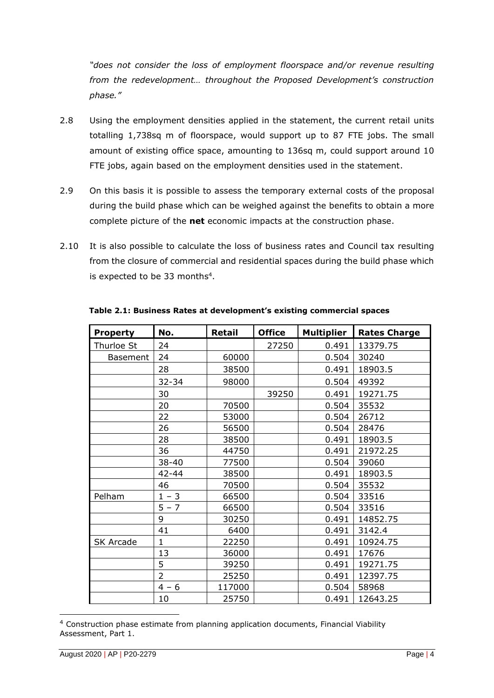*"does not consider the loss of employment floorspace and/or revenue resulting from the redevelopment… throughout the Proposed Development's construction phase."*

- 2.8 Using the employment densities applied in the statement, the current retail units totalling 1,738sq m of floorspace, would support up to 87 FTE jobs. The small amount of existing office space, amounting to 136sq m, could support around 10 FTE jobs, again based on the employment densities used in the statement.
- 2.9 On this basis it is possible to assess the temporary external costs of the proposal during the build phase which can be weighed against the benefits to obtain a more complete picture of the **net** economic impacts at the construction phase.
- 2.10 It is also possible to calculate the loss of business rates and Council tax resulting from the closure of commercial and residential spaces during the build phase which is expected to be 33 months<sup>4</sup>.

| <b>Property</b>  | No.            | <b>Retail</b> | <b>Office</b> | <b>Multiplier</b> | <b>Rates Charge</b> |
|------------------|----------------|---------------|---------------|-------------------|---------------------|
| Thurloe St       | 24             |               | 27250         | 0.491             | 13379.75            |
| Basement         | 24             | 60000         |               | 0.504             | 30240               |
|                  | 28             | 38500         |               | 0.491             | 18903.5             |
|                  | $32 - 34$      | 98000         |               | 0.504             | 49392               |
|                  | 30             |               | 39250         | 0.491             | 19271.75            |
|                  | 20             | 70500         |               | 0.504             | 35532               |
|                  | 22             | 53000         |               | 0.504             | 26712               |
|                  | 26             | 56500         |               | 0.504             | 28476               |
|                  | 28             | 38500         |               | 0.491             | 18903.5             |
|                  | 36             | 44750         |               | 0.491             | 21972.25            |
|                  | 38-40          | 77500         |               | 0.504             | 39060               |
|                  | 42-44          | 38500         |               | 0.491             | 18903.5             |
|                  | 46             | 70500         |               | 0.504             | 35532               |
| Pelham           | $1 - 3$        | 66500         |               | 0.504             | 33516               |
|                  | $5 - 7$        | 66500         |               | 0.504             | 33516               |
|                  | 9              | 30250         |               | 0.491             | 14852.75            |
|                  | 41             | 6400          |               | 0.491             | 3142.4              |
| <b>SK Arcade</b> | $\mathbf 1$    | 22250         |               | 0.491             | 10924.75            |
|                  | 13             | 36000         |               | 0.491             | 17676               |
|                  | 5              | 39250         |               | 0.491             | 19271.75            |
|                  | $\overline{2}$ | 25250         |               | 0.491             | 12397.75            |
|                  | $4 - 6$        | 117000        |               | 0.504             | 58968               |
|                  | 10             | 25750         |               | 0.491             | 12643.25            |

**Table 2.1: Business Rates at development's existing commercial spaces** 

<sup>4</sup> Construction phase estimate from planning application documents, Financial Viability Assessment, Part 1.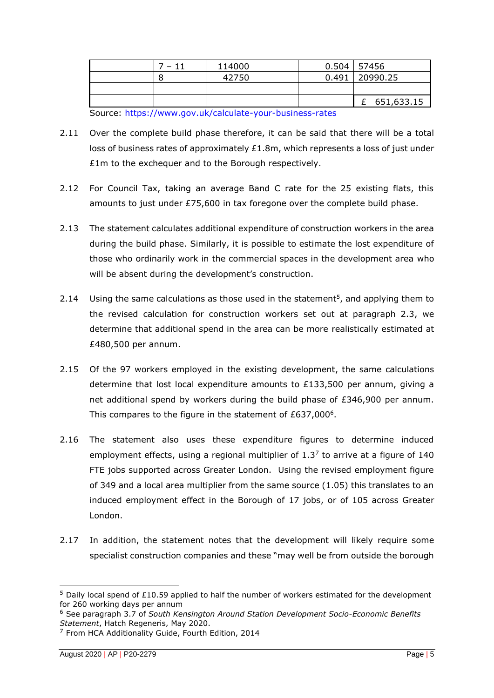|                                                         | 7 – 11 | 114000 |  | $0.504$   57456    |  |              |
|---------------------------------------------------------|--------|--------|--|--------------------|--|--------------|
|                                                         |        | 42750  |  | $0.491$   20990.25 |  |              |
|                                                         |        |        |  |                    |  |              |
|                                                         |        |        |  |                    |  | £ 651,633.15 |
| Course bttps://www.gov.uk/coloulate.your.business.rates |        |        |  |                    |  |              |

Source:<https://www.gov.uk/calculate-your-business-rates>

- 2.11 Over the complete build phase therefore, it can be said that there will be a total loss of business rates of approximately  $£1.8m$ , which represents a loss of just under £1m to the exchequer and to the Borough respectively.
- 2.12 For Council Tax, taking an average Band C rate for the 25 existing flats, this amounts to just under £75,600 in tax foregone over the complete build phase.
- 2.13 The statement calculates additional expenditure of construction workers in the area during the build phase. Similarly, it is possible to estimate the lost expenditure of those who ordinarily work in the commercial spaces in the development area who will be absent during the development's construction.
- 2.14 Using the same calculations as those used in the statement<sup>5</sup>, and applying them to the revised calculation for construction workers set out at paragraph 2.3, we determine that additional spend in the area can be more realistically estimated at £480,500 per annum.
- 2.15 Of the 97 workers employed in the existing development, the same calculations determine that lost local expenditure amounts to  $£133,500$  per annum, giving a net additional spend by workers during the build phase of £346,900 per annum. This compares to the figure in the statement of  $£637,000<sup>6</sup>$ .
- 2.16 The statement also uses these expenditure figures to determine induced employment effects, using a regional multiplier of  $1.3<sup>7</sup>$  to arrive at a figure of 140 FTE jobs supported across Greater London. Using the revised employment figure of 349 and a local area multiplier from the same source (1.05) this translates to an induced employment effect in the Borough of 17 jobs, or of 105 across Greater London.
- 2.17 In addition, the statement notes that the development will likely require some specialist construction companies and these "may well be from outside the borough

<sup>&</sup>lt;sup>5</sup> Daily local spend of £10.59 applied to half the number of workers estimated for the development for 260 working days per annum

<sup>6</sup> See paragraph 3.7 of *South Kensington Around Station Development Socio-Economic Benefits Statement*, Hatch Regeneris, May 2020.

<sup>7</sup> From HCA Additionality Guide, Fourth Edition, 2014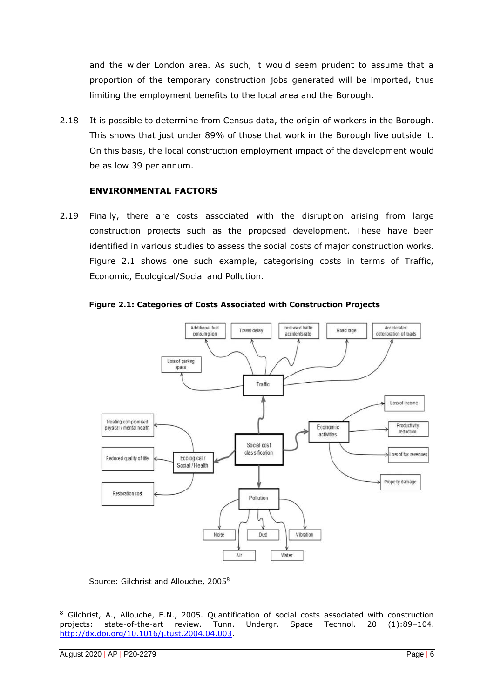and the wider London area. As such, it would seem prudent to assume that a proportion of the temporary construction jobs generated will be imported, thus limiting the employment benefits to the local area and the Borough.

2.18 It is possible to determine from Census data, the origin of workers in the Borough. This shows that just under 89% of those that work in the Borough live outside it. On this basis, the local construction employment impact of the development would be as low 39 per annum.

### **ENVIRONMENTAL FACTORS**

2.19 Finally, there are costs associated with the disruption arising from large construction projects such as the proposed development. These have been identified in various studies to assess the social costs of major construction works. Figure 2.1 shows one such example, categorising costs in terms of Traffic, Economic, Ecological/Social and Pollution.





# Source: Gilchrist and Allouche, 2005<sup>8</sup>

<sup>8</sup> Gilchrist, A., Allouche, E.N., 2005. Quantification of social costs associated with construction projects: state-of-the-art review. Tunn. Undergr. Space Technol. 20 (1):89–104. [http://dx.doi.org/10.1016/j.tust.2004.04.003.](http://dx.doi.org/10.1016/j.tust.2004.04.003)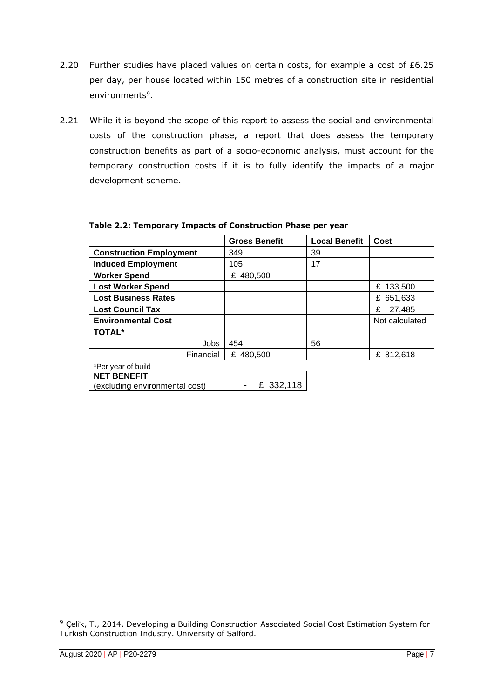- 2.20 Further studies have placed values on certain costs, for example a cost of £6.25 per day, per house located within 150 metres of a construction site in residential environments<sup>9</sup>.
- 2.21 While it is beyond the scope of this report to assess the social and environmental costs of the construction phase, a report that does assess the temporary construction benefits as part of a socio-economic analysis, must account for the temporary construction costs if it is to fully identify the impacts of a major development scheme.

|                                                      | <b>Gross Benefit</b> | <b>Local Benefit</b> | Cost           |
|------------------------------------------------------|----------------------|----------------------|----------------|
| <b>Construction Employment</b>                       | 349                  | 39                   |                |
| <b>Induced Employment</b>                            | 105                  | 17                   |                |
| <b>Worker Spend</b>                                  | £ 480,500            |                      |                |
| <b>Lost Worker Spend</b>                             |                      |                      | £ 133,500      |
| <b>Lost Business Rates</b>                           |                      |                      | 651,633<br>£   |
| <b>Lost Council Tax</b>                              |                      |                      | 27,485<br>£    |
| <b>Environmental Cost</b>                            |                      |                      | Not calculated |
| <b>TOTAL*</b>                                        |                      |                      |                |
| Jobs                                                 | 454                  | 56                   |                |
| Financial                                            | £ 480,500            |                      | £ 812,618      |
| *Per year of build                                   |                      |                      |                |
| <b>NET BENEFIT</b><br>(excluding environmental cost) | £ 332,118            |                      |                |

#### **Table 2.2: Temporary Impacts of Construction Phase per year**

<sup>&</sup>lt;sup>9</sup> Çelik, T., 2014. Developing a Building Construction Associated Social Cost Estimation System for Turkish Construction Industry. University of Salford.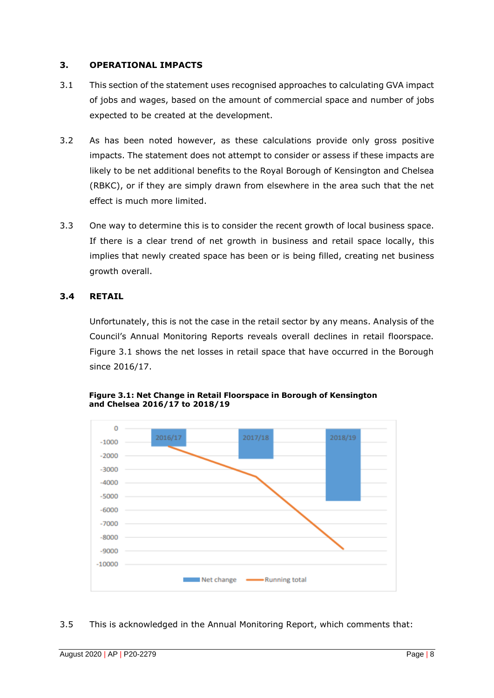# <span id="page-9-0"></span>**3. OPERATIONAL IMPACTS**

- 3.1 This section of the statement uses recognised approaches to calculating GVA impact of jobs and wages, based on the amount of commercial space and number of jobs expected to be created at the development.
- 3.2 As has been noted however, as these calculations provide only gross positive impacts. The statement does not attempt to consider or assess if these impacts are likely to be net additional benefits to the Royal Borough of Kensington and Chelsea (RBKC), or if they are simply drawn from elsewhere in the area such that the net effect is much more limited.
- 3.3 One way to determine this is to consider the recent growth of local business space. If there is a clear trend of net growth in business and retail space locally, this implies that newly created space has been or is being filled, creating net business growth overall.

# **3.4 RETAIL**

Unfortunately, this is not the case in the retail sector by any means. Analysis of the Council's Annual Monitoring Reports reveals overall declines in retail floorspace. Figure 3.1 shows the net losses in retail space that have occurred in the Borough since 2016/17.



**Figure 3.1: Net Change in Retail Floorspace in Borough of Kensington and Chelsea 2016/17 to 2018/19**

#### 3.5 This is acknowledged in the Annual Monitoring Report, which comments that: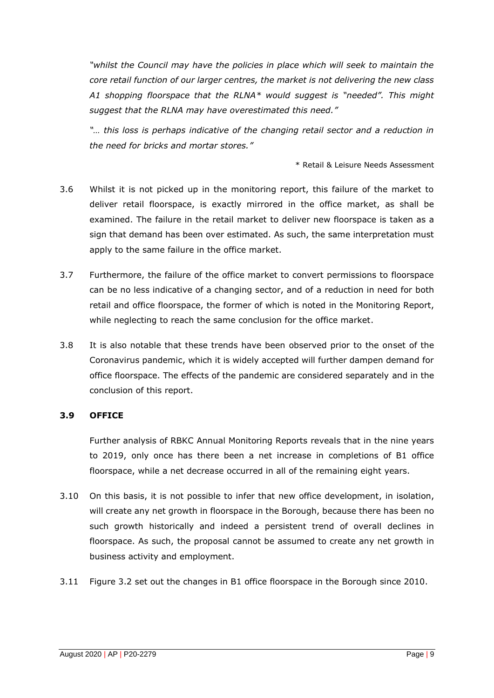*"whilst the Council may have the policies in place which will seek to maintain the core retail function of our larger centres, the market is not delivering the new class A1 shopping floorspace that the RLNA\* would suggest is "needed". This might suggest that the RLNA may have overestimated this need."*

*"… this loss is perhaps indicative of the changing retail sector and a reduction in the need for bricks and mortar stores."*

\* Retail & Leisure Needs Assessment

- 3.6 Whilst it is not picked up in the monitoring report, this failure of the market to deliver retail floorspace, is exactly mirrored in the office market, as shall be examined. The failure in the retail market to deliver new floorspace is taken as a sign that demand has been over estimated. As such, the same interpretation must apply to the same failure in the office market.
- 3.7 Furthermore, the failure of the office market to convert permissions to floorspace can be no less indicative of a changing sector, and of a reduction in need for both retail and office floorspace, the former of which is noted in the Monitoring Report, while neglecting to reach the same conclusion for the office market.
- 3.8 It is also notable that these trends have been observed prior to the onset of the Coronavirus pandemic, which it is widely accepted will further dampen demand for office floorspace. The effects of the pandemic are considered separately and in the conclusion of this report.

### **3.9 OFFICE**

Further analysis of RBKC Annual Monitoring Reports reveals that in the nine years to 2019, only once has there been a net increase in completions of B1 office floorspace, while a net decrease occurred in all of the remaining eight years.

- 3.10 On this basis, it is not possible to infer that new office development, in isolation, will create any net growth in floorspace in the Borough, because there has been no such growth historically and indeed a persistent trend of overall declines in floorspace. As such, the proposal cannot be assumed to create any net growth in business activity and employment.
- 3.11 Figure 3.2 set out the changes in B1 office floorspace in the Borough since 2010.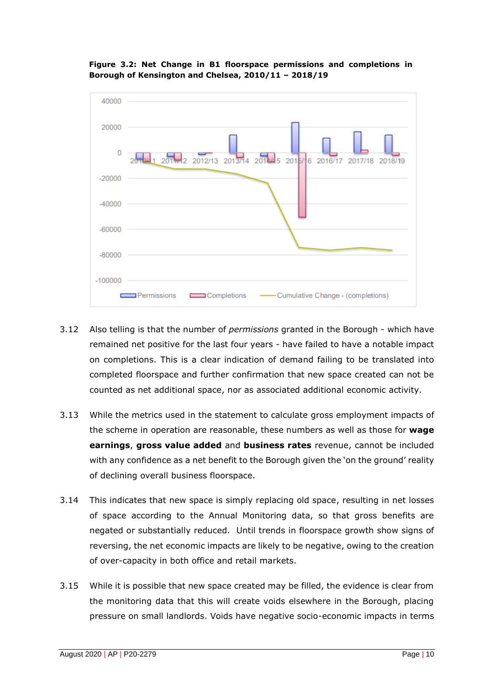



- 3.12 Also telling is that the number of *permissions* granted in the Borough which have remained net positive for the last four years - have failed to have a notable impact on completions. This is a clear indication of demand failing to be translated into completed floorspace and further confirmation that new space created can not be counted as net additional space, nor as associated additional economic activity.
- 3.13 While the metrics used in the statement to calculate gross employment impacts of the scheme in operation are reasonable, these numbers as well as those for **wage earnings**, **gross value added** and **business rates** revenue, cannot be included with any confidence as a net benefit to the Borough given the 'on the ground' reality of declining overall business floorspace.
- 3.14 This indicates that new space is simply replacing old space, resulting in net losses of space according to the Annual Monitoring data, so that gross benefits are negated or substantially reduced. Until trends in floorspace growth show signs of reversing, the net economic impacts are likely to be negative, owing to the creation of over-capacity in both office and retail markets.
- 3.15 While it is possible that new space created may be filled, the evidence is clear from the monitoring data that this will create voids elsewhere in the Borough, placing pressure on small landlords. Voids have negative socio-economic impacts in terms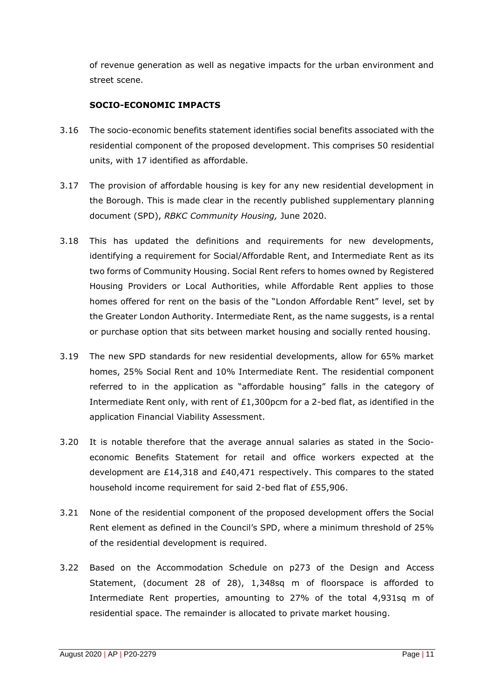of revenue generation as well as negative impacts for the urban environment and street scene.

# **SOCIO-ECONOMIC IMPACTS**

- 3.16 The socio-economic benefits statement identifies social benefits associated with the residential component of the proposed development. This comprises 50 residential units, with 17 identified as affordable.
- 3.17 The provision of affordable housing is key for any new residential development in the Borough. This is made clear in the recently published supplementary planning document (SPD), *RBKC Community Housing,* June 2020.
- 3.18 This has updated the definitions and requirements for new developments, identifying a requirement for Social/Affordable Rent, and Intermediate Rent as its two forms of Community Housing. Social Rent refers to homes owned by Registered Housing Providers or Local Authorities, while Affordable Rent applies to those homes offered for rent on the basis of the "London Affordable Rent" level, set by the Greater London Authority. Intermediate Rent, as the name suggests, is a rental or purchase option that sits between market housing and socially rented housing.
- 3.19 The new SPD standards for new residential developments, allow for 65% market homes, 25% Social Rent and 10% Intermediate Rent. The residential component referred to in the application as "affordable housing" falls in the category of Intermediate Rent only, with rent of  $£1,300$  pcm for a 2-bed flat, as identified in the application Financial Viability Assessment.
- 3.20 It is notable therefore that the average annual salaries as stated in the Socioeconomic Benefits Statement for retail and office workers expected at the development are £14,318 and £40,471 respectively. This compares to the stated household income requirement for said 2-bed flat of £55,906.
- 3.21 None of the residential component of the proposed development offers the Social Rent element as defined in the Council's SPD, where a minimum threshold of 25% of the residential development is required.
- 3.22 Based on the Accommodation Schedule on p273 of the Design and Access Statement, (document 28 of 28), 1,348sq m of floorspace is afforded to Intermediate Rent properties, amounting to 27% of the total 4,931sq m of residential space. The remainder is allocated to private market housing.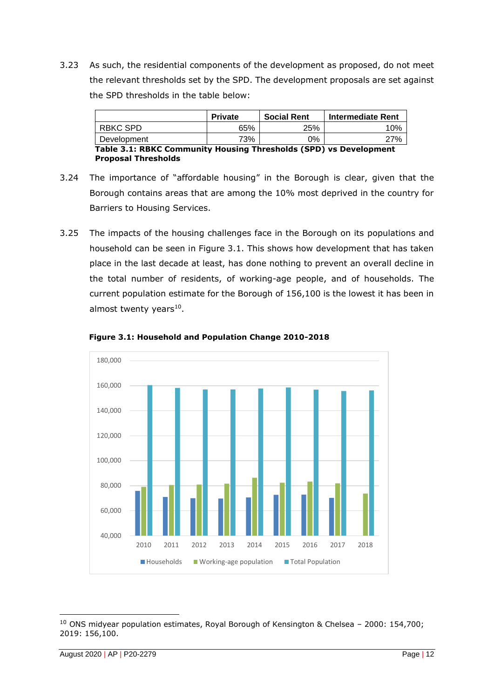3.23 As such, the residential components of the development as proposed, do not meet the relevant thresholds set by the SPD. The development proposals are set against the SPD thresholds in the table below:

|                                                                   | <b>Private</b> | <b>Social Rent</b> | <b>Intermediate Rent</b> |  |  |  |  |
|-------------------------------------------------------------------|----------------|--------------------|--------------------------|--|--|--|--|
| RBKC SPD                                                          | 65%            | 25%                | 10%                      |  |  |  |  |
| Development                                                       | 73%            | 0%                 | 27%                      |  |  |  |  |
| Table 3.1: RBKC Community Housing Thresholds (SPD) vs Development |                |                    |                          |  |  |  |  |
| <b>Proposal Thresholds</b>                                        |                |                    |                          |  |  |  |  |

- 3.24 The importance of "affordable housing" in the Borough is clear, given that the Borough contains areas that are among the 10% most deprived in the country for Barriers to Housing Services.
- 3.25 The impacts of the housing challenges face in the Borough on its populations and household can be seen in Figure 3.1. This shows how development that has taken place in the last decade at least, has done nothing to prevent an overall decline in the total number of residents, of working-age people, and of households. The current population estimate for the Borough of 156,100 is the lowest it has been in almost twenty years $^{10}$ .



**Figure 3.1: Household and Population Change 2010-2018**

 $10$  ONS midyear population estimates, Royal Borough of Kensington & Chelsea - 2000: 154,700; 2019: 156,100.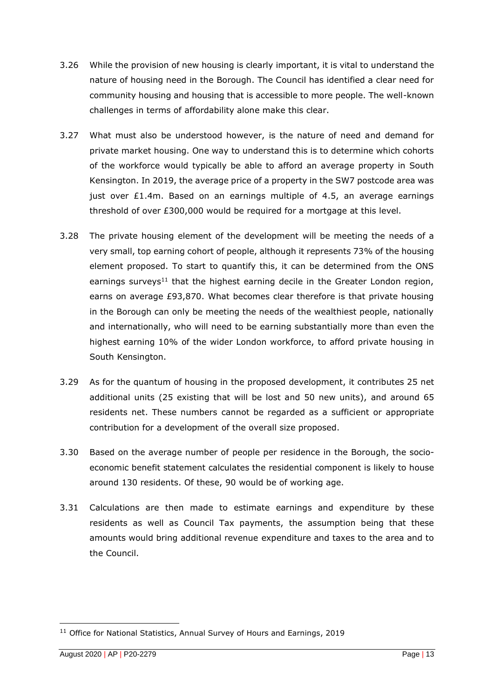- 3.26 While the provision of new housing is clearly important, it is vital to understand the nature of housing need in the Borough. The Council has identified a clear need for community housing and housing that is accessible to more people. The well-known challenges in terms of affordability alone make this clear.
- 3.27 What must also be understood however, is the nature of need and demand for private market housing. One way to understand this is to determine which cohorts of the workforce would typically be able to afford an average property in South Kensington. In 2019, the average price of a property in the SW7 postcode area was just over  $£1.4m$ . Based on an earnings multiple of  $4.5$ , an average earnings threshold of over £300,000 would be required for a mortgage at this level.
- 3.28 The private housing element of the development will be meeting the needs of a very small, top earning cohort of people, although it represents 73% of the housing element proposed. To start to quantify this, it can be determined from the ONS earnings surveys<sup>11</sup> that the highest earning decile in the Greater London region, earns on average £93,870. What becomes clear therefore is that private housing in the Borough can only be meeting the needs of the wealthiest people, nationally and internationally, who will need to be earning substantially more than even the highest earning 10% of the wider London workforce, to afford private housing in South Kensington.
- 3.29 As for the quantum of housing in the proposed development, it contributes 25 net additional units (25 existing that will be lost and 50 new units), and around 65 residents net. These numbers cannot be regarded as a sufficient or appropriate contribution for a development of the overall size proposed.
- 3.30 Based on the average number of people per residence in the Borough, the socioeconomic benefit statement calculates the residential component is likely to house around 130 residents. Of these, 90 would be of working age.
- 3.31 Calculations are then made to estimate earnings and expenditure by these residents as well as Council Tax payments, the assumption being that these amounts would bring additional revenue expenditure and taxes to the area and to the Council.

<sup>&</sup>lt;sup>11</sup> Office for National Statistics, Annual Survey of Hours and Earnings, 2019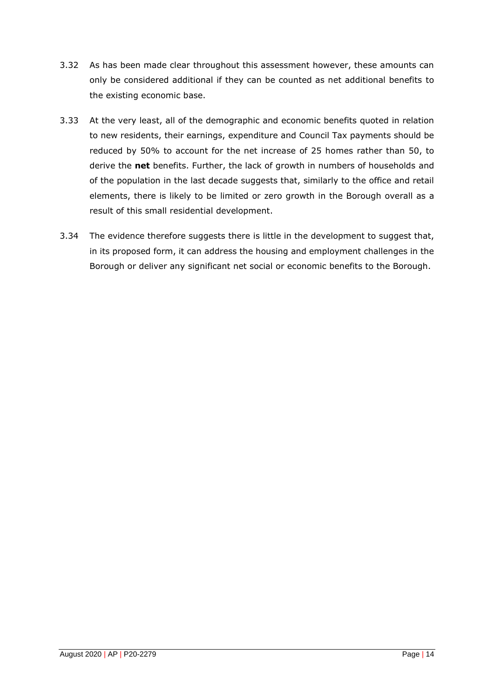- 3.32 As has been made clear throughout this assessment however, these amounts can only be considered additional if they can be counted as net additional benefits to the existing economic base.
- 3.33 At the very least, all of the demographic and economic benefits quoted in relation to new residents, their earnings, expenditure and Council Tax payments should be reduced by 50% to account for the net increase of 25 homes rather than 50, to derive the **net** benefits. Further, the lack of growth in numbers of households and of the population in the last decade suggests that, similarly to the office and retail elements, there is likely to be limited or zero growth in the Borough overall as a result of this small residential development.
- 3.34 The evidence therefore suggests there is little in the development to suggest that, in its proposed form, it can address the housing and employment challenges in the Borough or deliver any significant net social or economic benefits to the Borough.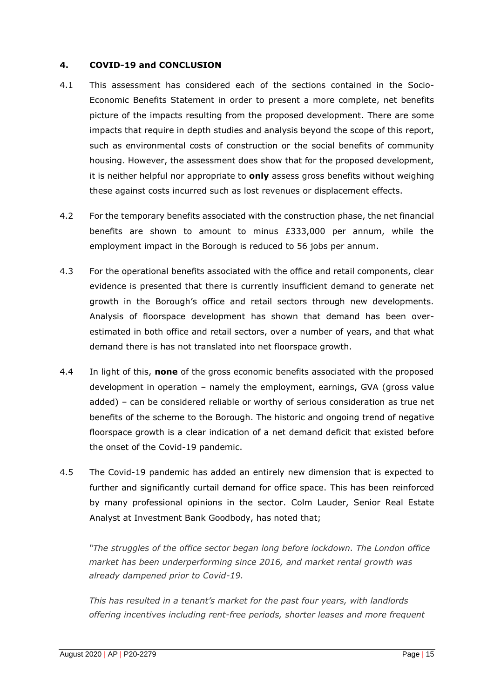#### **4. COVID-19 and CONCLUSION**

- 4.1 This assessment has considered each of the sections contained in the Socio-Economic Benefits Statement in order to present a more complete, net benefits picture of the impacts resulting from the proposed development. There are some impacts that require in depth studies and analysis beyond the scope of this report, such as environmental costs of construction or the social benefits of community housing. However, the assessment does show that for the proposed development, it is neither helpful nor appropriate to **only** assess gross benefits without weighing these against costs incurred such as lost revenues or displacement effects.
- 4.2 For the temporary benefits associated with the construction phase, the net financial benefits are shown to amount to minus £333,000 per annum, while the employment impact in the Borough is reduced to 56 jobs per annum.
- 4.3 For the operational benefits associated with the office and retail components, clear evidence is presented that there is currently insufficient demand to generate net growth in the Borough's office and retail sectors through new developments. Analysis of floorspace development has shown that demand has been overestimated in both office and retail sectors, over a number of years, and that what demand there is has not translated into net floorspace growth.
- 4.4 In light of this, **none** of the gross economic benefits associated with the proposed development in operation – namely the employment, earnings, GVA (gross value added) – can be considered reliable or worthy of serious consideration as true net benefits of the scheme to the Borough. The historic and ongoing trend of negative floorspace growth is a clear indication of a net demand deficit that existed before the onset of the Covid-19 pandemic.
- 4.5 The Covid-19 pandemic has added an entirely new dimension that is expected to further and significantly curtail demand for office space. This has been reinforced by many professional opinions in the sector. Colm Lauder, Senior Real Estate Analyst at Investment Bank Goodbody, has noted that;

*"The struggles of the office sector began long before lockdown. The London office market has been underperforming since 2016, and market rental growth was already dampened prior to Covid-19.*

*This has resulted in a tenant's market for the past four years, with landlords offering incentives including rent-free periods, shorter leases and more frequent*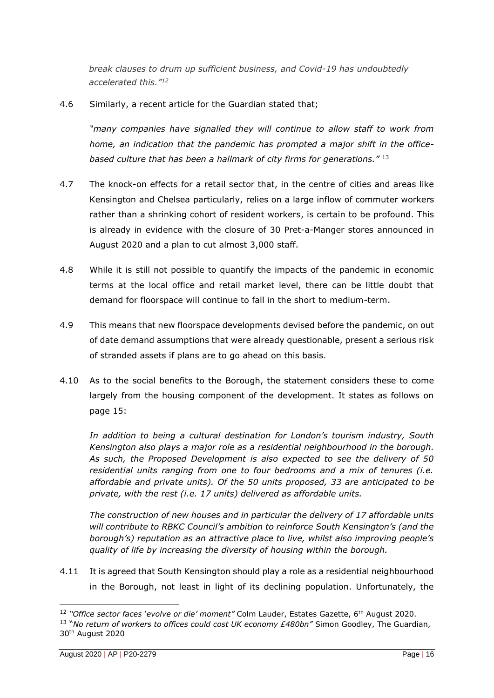*break clauses to drum up sufficient business, and Covid-19 has undoubtedly accelerated this." 12*

4.6 Similarly, a recent article for the Guardian stated that;

*"many companies have signalled they will continue to allow staff to work from home, an indication that the pandemic has prompted a major shift in the officebased culture that has been a hallmark of city firms for generations."* <sup>13</sup>

- 4.7 The knock-on effects for a retail sector that, in the centre of cities and areas like Kensington and Chelsea particularly, relies on a large inflow of commuter workers rather than a shrinking cohort of resident workers, is certain to be profound. This is already in evidence with the closure of 30 Pret-a-Manger stores announced in August 2020 and a plan to cut almost 3,000 staff.
- 4.8 While it is still not possible to quantify the impacts of the pandemic in economic terms at the local office and retail market level, there can be little doubt that demand for floorspace will continue to fall in the short to medium-term.
- 4.9 This means that new floorspace developments devised before the pandemic, on out of date demand assumptions that were already questionable, present a serious risk of stranded assets if plans are to go ahead on this basis.
- 4.10 As to the social benefits to the Borough, the statement considers these to come largely from the housing component of the development. It states as follows on page 15:

*In addition to being a cultural destination for London's tourism industry, South Kensington also plays a major role as a residential neighbourhood in the borough. As such, the Proposed Development is also expected to see the delivery of 50 residential units ranging from one to four bedrooms and a mix of tenures (i.e. affordable and private units). Of the 50 units proposed, 33 are anticipated to be private, with the rest (i.e. 17 units) delivered as affordable units.*

*The construction of new houses and in particular the delivery of 17 affordable units will contribute to RBKC Council's ambition to reinforce South Kensington's (and the borough's) reputation as an attractive place to live, whilst also improving people's quality of life by increasing the diversity of housing within the borough.*

4.11 It is agreed that South Kensington should play a role as a residential neighbourhood in the Borough, not least in light of its declining population. Unfortunately, the

<sup>12</sup> *"Office sector faces 'evolve or die' moment"* Colm Lauder, Estates Gazette, 6th August 2020.

<sup>&</sup>lt;sup>13</sup> "No return of workers to offices could cost UK economy £480bn" Simon Goodley, The Guardian, 30th August 2020